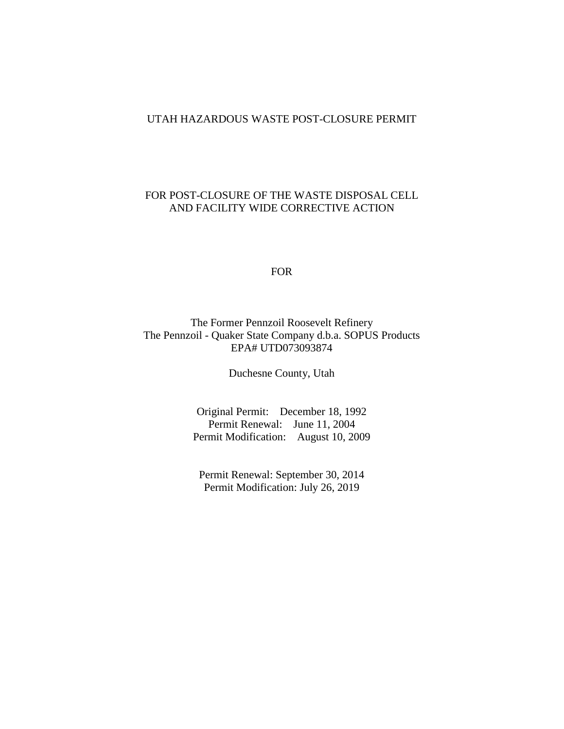#### UTAH HAZARDOUS WASTE POST-CLOSURE PERMIT

### FOR POST-CLOSURE OF THE WASTE DISPOSAL CELL AND FACILITY WIDE CORRECTIVE ACTION

FOR

## The Former Pennzoil Roosevelt Refinery The Pennzoil - Quaker State Company d.b.a. SOPUS Products EPA# UTD073093874

Duchesne County, Utah

Original Permit: December 18, 1992 Permit Renewal: June 11, 2004 Permit Modification: August 10, 2009

Permit Renewal: September 30, 2014 Permit Modification: July 26, 2019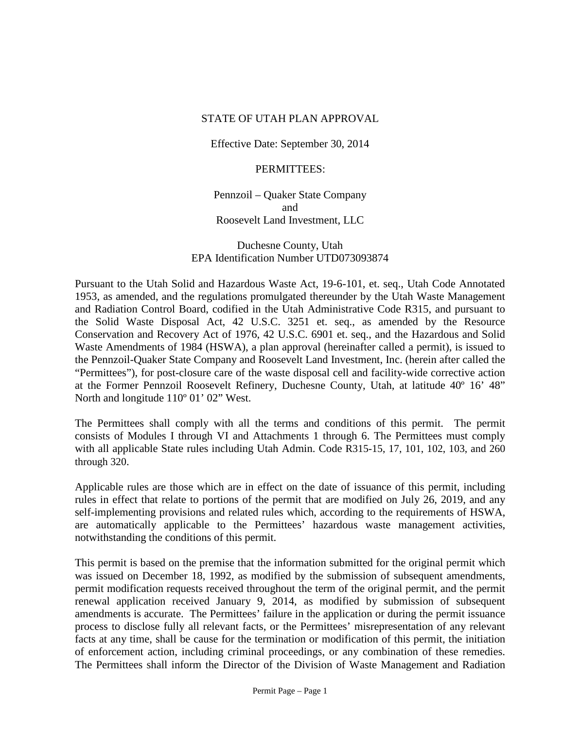#### STATE OF UTAH PLAN APPROVAL

Effective Date: September 30, 2014

### PERMITTEES:

Pennzoil – Quaker State Company and Roosevelt Land Investment, LLC

Duchesne County, Utah EPA Identification Number UTD073093874

Pursuant to the Utah Solid and Hazardous Waste Act, 19-6-101, et. seq., Utah Code Annotated 1953, as amended, and the regulations promulgated thereunder by the Utah Waste Management and Radiation Control Board, codified in the Utah Administrative Code R315, and pursuant to the Solid Waste Disposal Act, 42 U.S.C. 3251 et. seq., as amended by the Resource Conservation and Recovery Act of 1976, 42 U.S.C. 6901 et. seq., and the Hazardous and Solid Waste Amendments of 1984 (HSWA), a plan approval (hereinafter called a permit), is issued to the Pennzoil-Quaker State Company and Roosevelt Land Investment, Inc. (herein after called the "Permittees"), for post-closure care of the waste disposal cell and facility-wide corrective action at the Former Pennzoil Roosevelt Refinery, Duchesne County, Utah, at latitude 40º 16' 48" North and longitude 110º 01' 02" West.

The Permittees shall comply with all the terms and conditions of this permit. The permit consists of Modules I through VI and Attachments 1 through 6. The Permittees must comply with all applicable State rules including Utah Admin. Code R315-15, 17, 101, 102, 103, and 260 through 320.

Applicable rules are those which are in effect on the date of issuance of this permit, including rules in effect that relate to portions of the permit that are modified on July 26, 2019, and any self-implementing provisions and related rules which, according to the requirements of HSWA, are automatically applicable to the Permittees' hazardous waste management activities, notwithstanding the conditions of this permit.

This permit is based on the premise that the information submitted for the original permit which was issued on December 18, 1992, as modified by the submission of subsequent amendments, permit modification requests received throughout the term of the original permit, and the permit renewal application received January 9, 2014, as modified by submission of subsequent amendments is accurate. The Permittees' failure in the application or during the permit issuance process to disclose fully all relevant facts, or the Permittees' misrepresentation of any relevant facts at any time, shall be cause for the termination or modification of this permit, the initiation of enforcement action, including criminal proceedings, or any combination of these remedies. The Permittees shall inform the Director of the Division of Waste Management and Radiation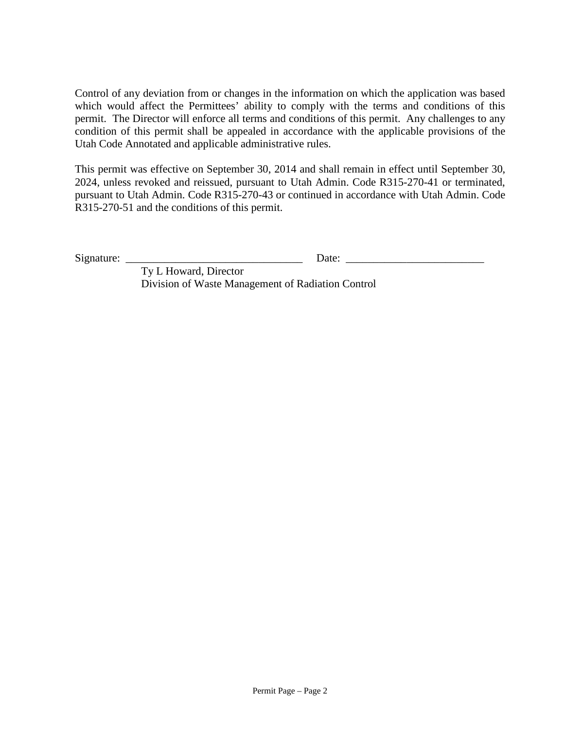Control of any deviation from or changes in the information on which the application was based which would affect the Permittees' ability to comply with the terms and conditions of this permit. The Director will enforce all terms and conditions of this permit. Any challenges to any condition of this permit shall be appealed in accordance with the applicable provisions of the Utah Code Annotated and applicable administrative rules.

This permit was effective on September 30, 2014 and shall remain in effect until September 30, 2024, unless revoked and reissued, pursuant to Utah Admin. Code R315-270-41 or terminated, pursuant to Utah Admin. Code R315-270-43 or continued in accordance with Utah Admin. Code R315-270-51 and the conditions of this permit.

Signature: \_\_\_\_\_\_\_\_\_\_\_\_\_\_\_\_\_\_\_\_\_\_\_\_\_\_\_\_\_\_\_\_ Date: \_\_\_\_\_\_\_\_\_\_\_\_\_\_\_\_\_\_\_\_\_\_\_\_\_

Ty L Howard, Director Division of Waste Management of Radiation Control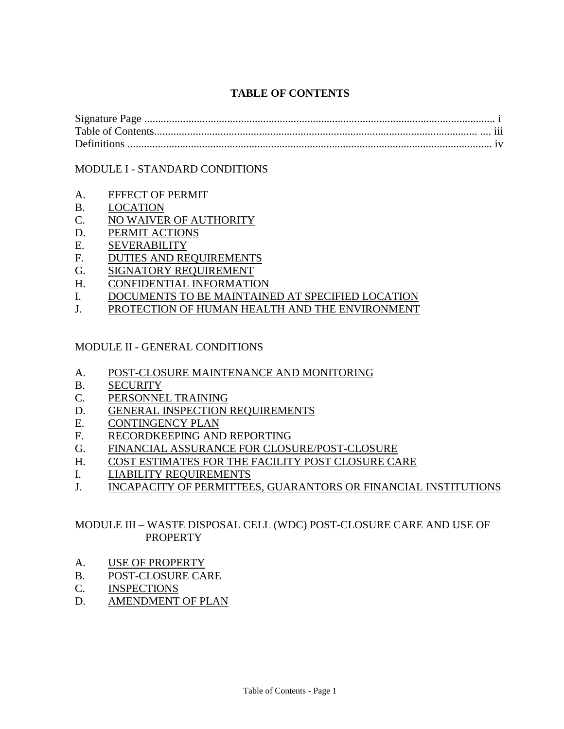# **TABLE OF CONTENTS**

| $\cdots$ |
|----------|
|          |

## MODULE I - STANDARD CONDITIONS

- A. EFFECT OF PERMIT
- B. LOCATION
- C. NO WAIVER OF AUTHORITY
- D. PERMIT ACTIONS
- E. SEVERABILITY
- F. DUTIES AND REQUIREMENTS
- G. SIGNATORY REQUIREMENT
- H. CONFIDENTIAL INFORMATION
- I. DOCUMENTS TO BE MAINTAINED AT SPECIFIED LOCATION
- J. PROTECTION OF HUMAN HEALTH AND THE ENVIRONMENT

## MODULE II - GENERAL CONDITIONS

- A. POST-CLOSURE MAINTENANCE AND MONITORING
- B. SECURITY
- C. PERSONNEL TRAINING
- D. GENERAL INSPECTION REQUIREMENTS
- E. CONTINGENCY PLAN
- F. RECORDKEEPING AND REPORTING
- G. FINANCIAL ASSURANCE FOR CLOSURE/POST-CLOSURE
- H. COST ESTIMATES FOR THE FACILITY POST CLOSURE CARE
- I. LIABILITY REQUIREMENTS
- J. INCAPACITY OF PERMITTEES, GUARANTORS OR FINANCIAL INSTITUTIONS

## MODULE III – WASTE DISPOSAL CELL (WDC) POST-CLOSURE CARE AND USE OF PROPERTY

- A. USE OF PROPERTY
- B. POST-CLOSURE CARE
- C. INSPECTIONS
- D. AMENDMENT OF PLAN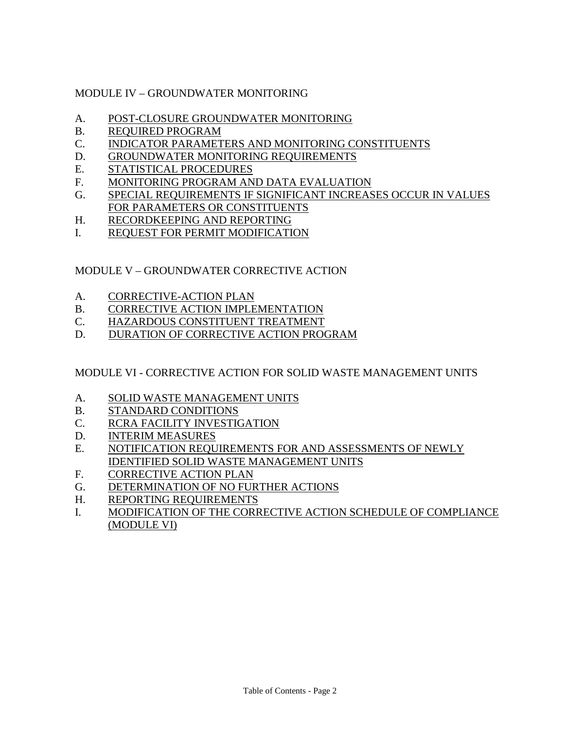# MODULE IV – GROUNDWATER MONITORING

- A. POST-CLOSURE GROUNDWATER MONITORING
- B. REQUIRED PROGRAM
- C. INDICATOR PARAMETERS AND MONITORING CONSTITUENTS
- D. GROUNDWATER MONITORING REQUIREMENTS
- E. STATISTICAL PROCEDURES
- F. MONITORING PROGRAM AND DATA EVALUATION
- G. SPECIAL REQUIREMENTS IF SIGNIFICANT INCREASES OCCUR IN VALUES FOR PARAMETERS OR CONSTITUENTS
- H. RECORDKEEPING AND REPORTING
- I. REQUEST FOR PERMIT MODIFICATION

# MODULE V – GROUNDWATER CORRECTIVE ACTION

- A. CORRECTIVE-ACTION PLAN
- B. CORRECTIVE ACTION IMPLEMENTATION
- C. HAZARDOUS CONSTITUENT TREATMENT
- D. DURATION OF CORRECTIVE ACTION PROGRAM

MODULE VI - CORRECTIVE ACTION FOR SOLID WASTE MANAGEMENT UNITS

- A. SOLID WASTE MANAGEMENT UNITS
- B. STANDARD CONDITIONS
- C. RCRA FACILITY INVESTIGATION
- D. INTERIM MEASURES
- E. NOTIFICATION REQUIREMENTS FOR AND ASSESSMENTS OF NEWLY IDENTIFIED SOLID WASTE MANAGEMENT UNITS
- F. CORRECTIVE ACTION PLAN
- G. DETERMINATION OF NO FURTHER ACTIONS
- H. REPORTING REQUIREMENTS
- I. MODIFICATION OF THE CORRECTIVE ACTION SCHEDULE OF COMPLIANCE (MODULE VI)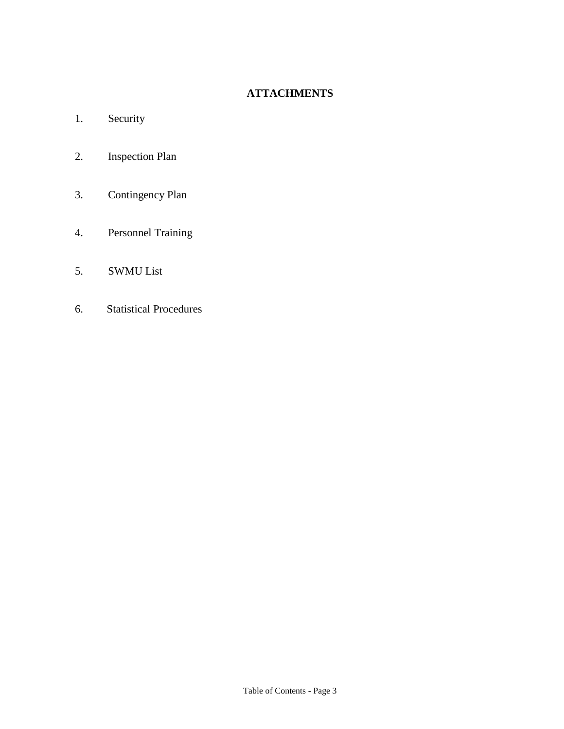# **ATTACHMENTS**

- 1. Security
- 2. Inspection Plan
- 3. Contingency Plan
- 4. Personnel Training
- 5. SWMU List
- 6. Statistical Procedures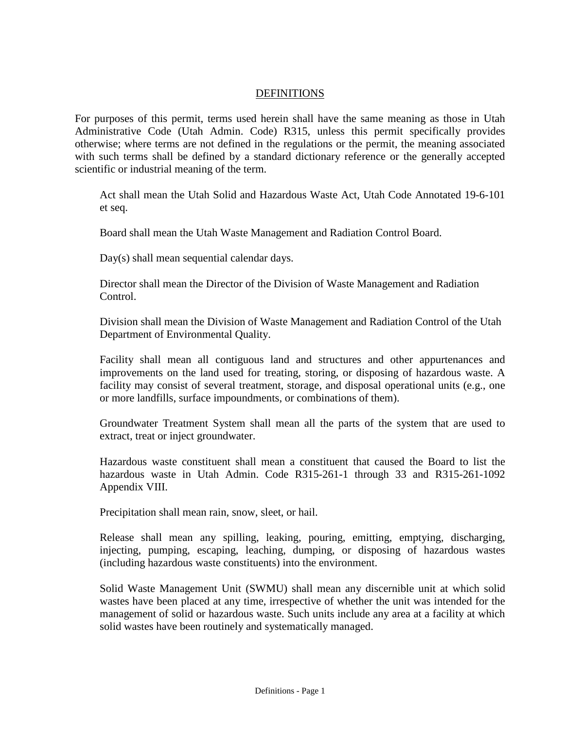#### DEFINITIONS

For purposes of this permit, terms used herein shall have the same meaning as those in Utah Administrative Code (Utah Admin. Code) R315, unless this permit specifically provides otherwise; where terms are not defined in the regulations or the permit, the meaning associated with such terms shall be defined by a standard dictionary reference or the generally accepted scientific or industrial meaning of the term.

Act shall mean the Utah Solid and Hazardous Waste Act, Utah Code Annotated 19-6-101 et seq.

Board shall mean the Utah Waste Management and Radiation Control Board.

Day(s) shall mean sequential calendar days.

Director shall mean the Director of the Division of Waste Management and Radiation Control.

Division shall mean the Division of Waste Management and Radiation Control of the Utah Department of Environmental Quality.

Facility shall mean all contiguous land and structures and other appurtenances and improvements on the land used for treating, storing, or disposing of hazardous waste. A facility may consist of several treatment, storage, and disposal operational units (e.g., one or more landfills, surface impoundments, or combinations of them).

Groundwater Treatment System shall mean all the parts of the system that are used to extract, treat or inject groundwater.

Hazardous waste constituent shall mean a constituent that caused the Board to list the hazardous waste in Utah Admin. Code R315-261-1 through 33 and R315-261-1092 Appendix VIII.

Precipitation shall mean rain, snow, sleet, or hail.

Release shall mean any spilling, leaking, pouring, emitting, emptying, discharging, injecting, pumping, escaping, leaching, dumping, or disposing of hazardous wastes (including hazardous waste constituents) into the environment.

Solid Waste Management Unit (SWMU) shall mean any discernible unit at which solid wastes have been placed at any time, irrespective of whether the unit was intended for the management of solid or hazardous waste. Such units include any area at a facility at which solid wastes have been routinely and systematically managed.